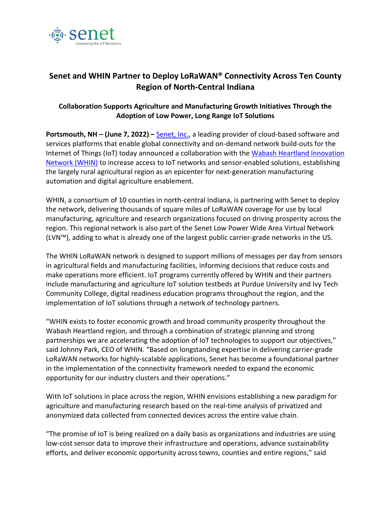

## **Senet and WHIN Partner to Deploy LoRaWAN® Connectivity Across Ten County Region of North-Central Indiana**

## **Collaboration Supports Agriculture and Manufacturing Growth Initiatives Through the Adoption of Low Power, Long Range IoT Solutions**

**Portsmouth, NH – (June 7, 2022) –** [Senet, Inc.,](https://www.senetco.com/) a leading provider of cloud-based software and services platforms that enable global connectivity and on-demand network build-outs for the Internet of Things (IoT) today announced a collaboration with the [Wabash Heartland Innovation](https://whin.org/)  [Network \(WHIN\)](https://whin.org/) to increase access to IoT networks and sensor-enabled solutions, establishing the largely rural agricultural region as an epicenter for next-generation manufacturing automation and digital agriculture enablement.

WHIN, a consortium of 10 counties in north-central Indiana, is partnering with Senet to deploy the network, delivering thousands of square miles of LoRaWAN coverage for use by local manufacturing, agriculture and research organizations focused on driving prosperity across the region. This regional network is also part of the Senet Low Power Wide Area Virtual Network (LVN™), adding to what is already one of the largest public carrier-grade networks in the US.

The WHIN LoRaWAN network is designed to support millions of messages per day from sensors in agricultural fields and manufacturing facilities, informing decisions that reduce costs and make operations more efficient. IoT programs currently offered by WHIN and their partners include manufacturing and agriculture IoT solution testbeds at Purdue University and Ivy Tech Community College, digital readiness education programs throughout the region, and the implementation of IoT solutions through a network of technology partners.

"WHIN exists to foster economic growth and broad community prosperity throughout the Wabash Heartland region, and through a combination of strategic planning and strong partnerships we are accelerating the adoption of IoT technologies to support our objectives," said Johnny Park, CEO of WHIN. "Based on longstanding expertise in delivering carrier-grade LoRaWAN networks for highly-scalable applications, Senet has become a foundational partner in the implementation of the connectivity framework needed to expand the economic opportunity for our industry clusters and their operations."

With IoT solutions in place across the region, WHIN envisions establishing a new paradigm for agriculture and manufacturing research based on the real-time analysis of privatized and anonymized data collected from connected devices across the entire value chain.

"The promise of IoT is being realized on a daily basis as organizations and industries are using low-cost sensor data to improve their infrastructure and operations, advance sustainability efforts, and deliver economic opportunity across towns, counties and entire regions," said